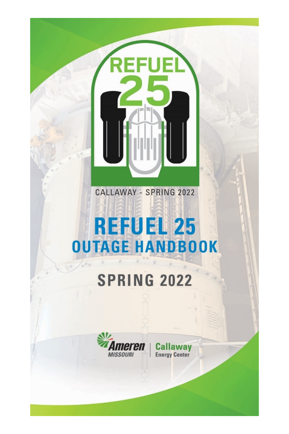# **REFUEL 25 OUTAGE HANDBOOK**

CALLAWAY - SPRING 2022

1331131

.<br>Elli

# **SPRING 2022**



way Cal **Energy Center**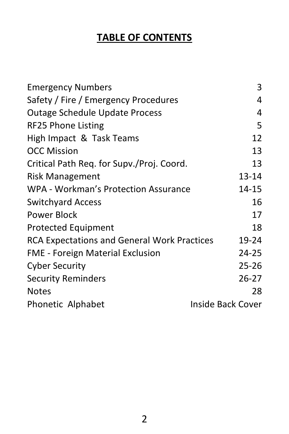# **TABLE OF CONTENTS**

| <b>Emergency Numbers</b>                    | 3                 |
|---------------------------------------------|-------------------|
| Safety / Fire / Emergency Procedures        | 4                 |
| Outage Schedule Update Process              | 4                 |
| RF25 Phone Listing                          | 5                 |
| High Impact & Task Teams                    | 12                |
| <b>OCC Mission</b>                          | 13                |
| Critical Path Req. for Supv./Proj. Coord.   | 13                |
| <b>Risk Management</b>                      | 13-14             |
| WPA - Workman's Protection Assurance        | 14-15             |
| <b>Switchyard Access</b>                    | 16                |
| Power Block                                 | 17                |
| <b>Protected Equipment</b>                  | 18                |
| RCA Expectations and General Work Practices | 19-24             |
| FME - Foreign Material Exclusion            | 24-25             |
| <b>Cyber Security</b>                       | 25-26             |
| <b>Security Reminders</b>                   | 26-27             |
| <b>Notes</b>                                | 28                |
| Phonetic Alphabet                           | Inside Back Cover |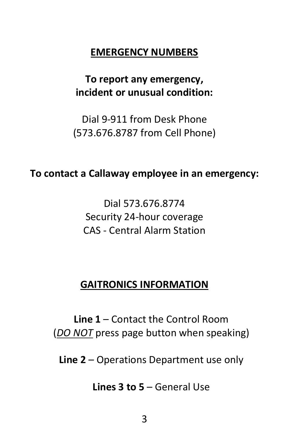#### **EMERGENCY NUMBERS**

# **To report any emergency, incident or unusual condition:**

Dial 9-911 from Desk Phone (573.676.8787 from Cell Phone)

#### **To contact a Callaway employee in an emergency:**

Dial 573.676.8774 Security 24-hour coverage CAS - Central Alarm Station

#### **GAITRONICS INFORMATION**

**Line 1** – Contact the Control Room (*DO NOT* press page button when speaking)

**Line 2** – Operations Department use only

**Lines 3 to 5** – General Use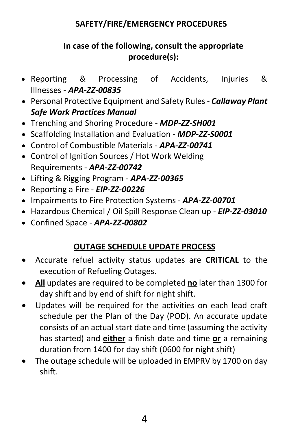#### **SAFETY/FIRE/EMERGENCY PROCEDURES**

#### **In case of the following, consult the appropriate procedure(s):**

- Reporting & Processing of Accidents, Injuries & Illnesses - *APA-ZZ-00835*
- Personal Protective Equipment and Safety Rules *Callaway Plant Safe Work Practices Manual*
- Trenching and Shoring Procedure *MDP-ZZ-SH001*
- Scaffolding Installation and Evaluation *MDP-ZZ-S0001*
- Control of Combustible Materials *APA-ZZ-00741*
- Control of Ignition Sources / Hot Work Welding Requirements - *APA-ZZ-00742*
- Lifting & Rigging Program *APA-ZZ-00365*
- Reporting a Fire *EIP-ZZ-00226*
- Impairments to Fire Protection Systems *APA-ZZ-00701*
- Hazardous Chemical / Oil Spill Response Clean up *EIP-ZZ-03010*
- Confined Space *APA-ZZ-00802*

#### **OUTAGE SCHEDULE UPDATE PROCESS**

- Accurate refuel activity status updates are **CRITICAL** to the execution of Refueling Outages.
- **All** updates are required to be completed **no** later than 1300 for day shift and by end of shift for night shift.
- Updates will be required for the activities on each lead craft schedule per the Plan of the Day (POD). An accurate update consists of an actual start date and time (assuming the activity has started) and **either** a finish date and time **or** a remaining duration from 1400 for day shift (0600 for night shift)
- The outage schedule will be uploaded in EMPRV by 1700 on day shift.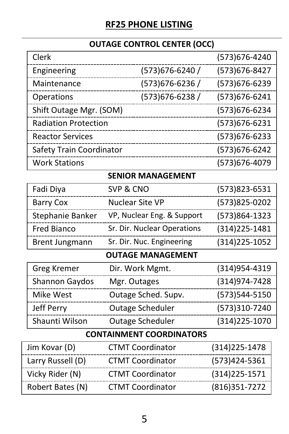# **RF25 PHONE LISTING**

# **OUTAGE CONTROL CENTER (OCC)**

| Clerk                                              |                             | (573)676-4240  |
|----------------------------------------------------|-----------------------------|----------------|
| Engineering                                        | (573) 676-6240 /            | (573) 676-8427 |
| (573)676-6236 /<br>Maintenance                     |                             | (573)676-6239  |
| Operations                                         | (573) 676-6238 /            | (573) 676-6241 |
| Shift Outage Mgr. (SOM)                            |                             | (573) 676-6234 |
| <b>Radiation Protection</b>                        |                             | (573) 676-6231 |
| <b>Reactor Services</b>                            |                             | (573) 676-6233 |
| Safety Train Coordinator                           |                             | (573) 676-6242 |
| <b>Work Stations</b>                               |                             | (573) 676-4079 |
|                                                    | <b>SENIOR MANAGEMENT</b>    |                |
| Fadi Diya                                          | SVP & CNO                   | (573)823-6531  |
| <b>Barry Cox</b>                                   | <b>Nuclear Site VP</b>      | (573)825-0202  |
| Stephanie Banker                                   | VP, Nuclear Eng. & Support  | (573)864-1323  |
| <b>Fred Bianco</b>                                 | Sr. Dir. Nuclear Operations | (314) 225-1481 |
| Sr. Dir. Nuc. Engineering<br><b>Brent Jungmann</b> |                             | (314) 225-1052 |
|                                                    | <b>OUTAGE MANAGEMENT</b>    |                |
| <b>Greg Kremer</b>                                 | Dir. Work Mgmt.             | (314)954-4319  |
| Shannon Gaydos                                     | Mgr. Outages                | (314)974-7428  |
| Mike West                                          | Outage Sched. Supv.         | (573)544-5150  |
| Jeff Perry                                         | Outage Scheduler            | (573)310-7240  |
| Shaunti Wilson                                     | Outage Scheduler            | (314) 225-1070 |
| <b>CONTAINMENT COORDINATORS</b>                    |                             |                |
| Jim Kovar (D)                                      | <b>CTMT Coordinator</b>     | (314) 225-1478 |
| Larry Russell (D)                                  | <b>CTMT Coordinator</b>     | (573)424-5361  |
| Vicky Rider (N)                                    | <b>CTMT Coordinator</b>     | (314) 225-1571 |
| Robert Bates (N)                                   | <b>CTMT Coordinator</b>     | (816)351-7272  |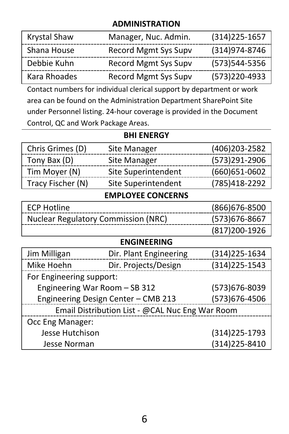#### **ADMINISTRATION**

| Krystal Shaw | Manager, Nuc. Admin. | $(314)225 - 1657$ |
|--------------|----------------------|-------------------|
| Shana House  | Record Mgmt Sys Supy | (314)974-8746     |
| Debbie Kuhn  | Record Mgmt Sys Supy | (573)544-5356     |
| Kara Rhoades | Record Mgmt Sys Supv | (573)220-4933     |

Contact numbers for individual clerical support by department or work area can be found on the Administration Department SharePoint Site under Personnel listing. 24-hour coverage is provided in the Document Control, QC and Work Package Areas.

| BHI ENERGY                                      |                          |                |
|-------------------------------------------------|--------------------------|----------------|
| Chris Grimes (D)                                | Site Manager             | (406)203-2582  |
| Tony Bax (D)                                    | Site Manager             | (573)291-2906  |
| Tim Moyer (N)                                   | Site Superintendent      | (660) 651-0602 |
| Tracy Fischer (N)                               | Site Superintendent      | (785)418-2292  |
|                                                 | <b>EMPLOYEE CONCERNS</b> |                |
| <b>ECP Hotline</b>                              |                          | (866)676-8500  |
| <b>Nuclear Regulatory Commission (NRC)</b>      |                          | (573)676-8667  |
|                                                 |                          | (817) 200-1926 |
|                                                 | <b>ENGINEERING</b>       |                |
| Jim Milligan                                    | Dir. Plant Engineering   | (314)225-1634  |
| Mike Hoehn                                      | Dir. Projects/Design     | (314)225-1543  |
| For Engineering support:                        |                          |                |
| Engineering War Room - SB 312                   |                          | (573)676-8039  |
| Engineering Design Center - CMB 213             |                          | (573)676-4506  |
| Email Distribution List - @CAL Nuc Eng War Room |                          |                |
| Occ Eng Manager:                                |                          |                |
| Jesse Hutchison                                 |                          | (314)225-1793  |
| Jesse Norman                                    |                          | (314) 225-8410 |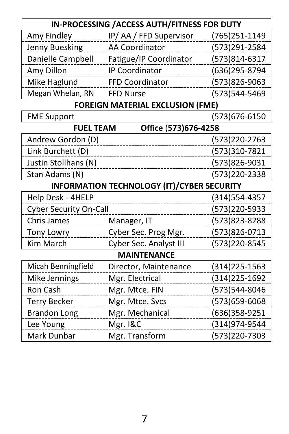| IN-PROCESSING / ACCESS AUTH/FITNESS FOR DUTY      |                                         |                |
|---------------------------------------------------|-----------------------------------------|----------------|
| Amy Findley                                       | IP/AA/FFD Supervisor                    | (765)251-1149  |
| Jenny Buesking                                    | AA Coordinator                          | (573)291-2584  |
| Danielle Campbell                                 | Fatigue/IP Coordinator                  | (573)814-6317  |
| Amy Dillon                                        | <b>IP Coordinator</b>                   | (636)295-8794  |
| Mike Haglund                                      | FFD Coordinator                         | (573)826-9063  |
| Megan Whelan, RN                                  | <b>FFD Nurse</b>                        | (573)544-5469  |
|                                                   | <b>FOREIGN MATERIAL EXCLUSION (FME)</b> |                |
| <b>FME Support</b>                                |                                         | (573)676-6150  |
| <b>FUEL TEAM</b><br>Office (573)676-4258          |                                         |                |
| Andrew Gordon (D)                                 |                                         | (573)220-2763  |
| Link Burchett (D)                                 |                                         | (573)310-7821  |
| Justin Stollhans (N)                              |                                         | (573)826-9031  |
| Stan Adams (N)                                    |                                         | (573)220-2338  |
| <b>INFORMATION TECHNOLOGY (IT)/CYBER SECURITY</b> |                                         |                |
| Help Desk - 4HELP                                 |                                         | (314) 554-4357 |
| <b>Cyber Security On-Call</b>                     |                                         | (573)220-5933  |
| Chris James                                       | Manager, IT                             | (573)823-8288  |
| Tony Lowry                                        | Cyber Sec. Prog Mgr.                    | (573)826-0713  |
| Kim March                                         | Cyber Sec. Analyst III                  | (573)220-8545  |
| <b>MAINTENANCE</b>                                |                                         |                |
| Micah Benningfield                                | Director, Maintenance                   | (314) 225-1563 |
| Mike Jennings                                     | Mgr. Electrical                         | (314) 225-1692 |
| Ron Cash                                          | Mgr. Mtce. FIN                          | (573)544-8046  |
| <b>Terry Becker</b>                               | Mgr. Mtce. Svcs                         | (573) 659-6068 |
| <b>Brandon Long</b>                               | Mgr. Mechanical                         | (636)358-9251  |
| Lee Young                                         | Mgr. I&C                                | (314)974-9544  |
| Mark Dunbar                                       | Mgr. Transform                          | (573)220-7303  |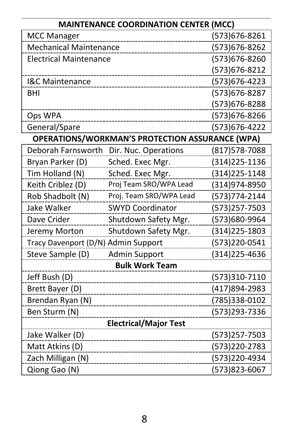| <b>MAINTENANCE COORDINATION CENTER (MCC)</b> |                                                        |                |
|----------------------------------------------|--------------------------------------------------------|----------------|
| <b>MCC Manager</b>                           |                                                        | (573) 676-8261 |
| <b>Mechanical Maintenance</b>                |                                                        | (573) 676-8262 |
| <b>Electrical Maintenance</b>                |                                                        | (573) 676-8260 |
|                                              |                                                        | (573) 676-8212 |
| I&C Maintenance                              |                                                        | (573) 676-4223 |
| BHI                                          |                                                        | (573) 676-8287 |
|                                              |                                                        | (573) 676-8288 |
| Ops WPA                                      |                                                        | (573) 676-8266 |
| General/Spare                                |                                                        | (573) 676-4222 |
|                                              | <b>OPERATIONS/WORKMAN'S PROTECTION ASSURANCE (WPA)</b> |                |
| Deborah Farnsworth                           | Dir. Nuc. Operations                                   | (817) 578-7088 |
| Bryan Parker (D)                             | Sched. Exec Mgr.                                       | (314) 225-1136 |
| Tim Holland (N)                              | Sched. Exec Mgr.                                       | (314) 225-1148 |
| Keith Criblez (D)                            | Proj Team SRO/WPA Lead                                 | (314)974-8950  |
| Rob Shadbolt (N)                             | Proj. Team SRO/WPA Lead                                | (573) 774-2144 |
| Jake Walker                                  | <b>SWYD Coordinator</b>                                | (573)257-7503  |
| Dave Crider                                  | Shutdown Safety Mgr.                                   | (573)680-9964  |
| Jeremy Morton                                | Shutdown Safety Mgr.                                   | (314) 225-1803 |
| Tracy Davenport (D/N) Admin Support          |                                                        | (573)220-0541  |
| Steve Sample (D)                             | Admin Support                                          | (314) 225-4636 |
|                                              | <b>Bulk Work Team</b>                                  |                |
| Jeff Bush (D)                                |                                                        | (573)310-7110  |
| Brett Bayer (D)                              |                                                        | (417)894-2983  |
| Brendan Ryan (N)                             |                                                        | (785)338-0102  |
| Ben Sturm (N)                                |                                                        | (573)293-7336  |
|                                              | <b>Electrical/Major Test</b>                           |                |
| Jake Walker (D)                              |                                                        | (573)257-7503  |
| Matt Atkins (D)                              |                                                        | (573)220-2783  |
| Zach Milligan (N)                            |                                                        | (573)220-4934  |
| Qiong Gao (N)                                |                                                        | (573)823-6067  |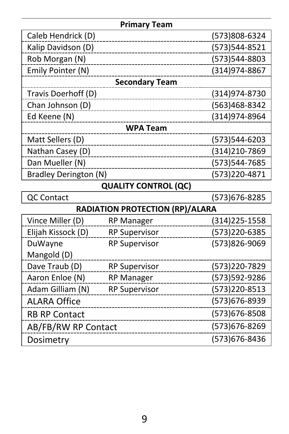| <b>Primary Team</b>   |                                        |                   |
|-----------------------|----------------------------------------|-------------------|
| Caleb Hendrick (D)    |                                        | (573)808-6324     |
| Kalip Davidson (D)    |                                        | (573)544-8521     |
| Rob Morgan (N)        |                                        | (573)544-8803     |
| Emily Pointer (N)     |                                        | (314) 974-8867    |
|                       | <b>Secondary Team</b>                  |                   |
| Travis Doerhoff (D)   |                                        | (314)974-8730     |
| Chan Johnson (D)      |                                        | (563)468-8342     |
| Ed Keene (N)          |                                        | (314)974-8964     |
|                       | <b>WPA Team</b>                        |                   |
| Matt Sellers (D)      |                                        | (573)544-6203     |
| Nathan Casey (D)      |                                        | (314)210-7869     |
| Dan Mueller (N)       |                                        | (573)544-7685     |
| Bradley Derington (N) |                                        | (573)220-4871     |
|                       | <b>QUALITY CONTROL (QC)</b>            |                   |
| QC Contact            |                                        | (573) 676-8285    |
|                       | <b>RADIATION PROTECTION (RP)/ALARA</b> |                   |
| Vince Miller (D)      | <b>RP Manager</b>                      | $(314)225 - 1558$ |
| Elijah Kissock (D)    | <b>RP Supervisor</b>                   | (573)220-6385     |
| DuWayne               | <b>RP Supervisor</b>                   | (573)826-9069     |
| Mangold (D)           |                                        |                   |
| Dave Traub (D)        | <b>RP Supervisor</b>                   | (573)220-7829     |
| Aaron Enloe (N)       | <b>RP Manager</b>                      | (573)592-9286     |
| Adam Gilliam (N)      | <b>RP Supervisor</b>                   | (573)220-8513     |
| <b>ALARA Office</b>   |                                        | (573) 676-8939    |
| <b>RB RP Contact</b>  |                                        | (573) 676-8508    |
| AB/FB/RW RP Contact   |                                        | (573) 676-8269    |
| Dosimetry             |                                        | (573) 676-8436    |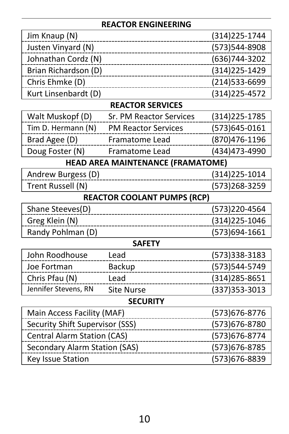#### **REACTOR ENGINEERING**

| Jim Knaup (N)                      |                                   | (314) 225 - 1744 |
|------------------------------------|-----------------------------------|------------------|
| Justen Vinyard (N)                 |                                   | (573)544-8908    |
| Johnathan Cordz (N)                |                                   | (636)744-3202    |
| Brian Richardson (D)               |                                   | (314) 225-1429   |
| Chris Ehmke (D)                    |                                   | (214)533-6699    |
| Kurt Linsenbardt (D)               |                                   | (314) 225-4572   |
|                                    | <b>REACTOR SERVICES</b>           |                  |
| Walt Muskopf (D)                   | Sr. PM Reactor Services           | (314) 225-1785   |
| Tim D. Hermann (N)                 | <b>PM Reactor Services</b>        | (573)645-0161    |
| Brad Agee (D)                      | Framatome Lead                    | (870) 476-1196   |
| Doug Foster (N)                    | Framatome Lead                    | (434)473-4990    |
|                                    | HEAD AREA MAINTENANCE (FRAMATOME) |                  |
| Andrew Burgess (D)                 |                                   | (314) 225-1014   |
| Trent Russell (N)                  |                                   | (573)268-3259    |
| <b>REACTOR COOLANT PUMPS (RCP)</b> |                                   |                  |
| Shane Steeves(D)                   |                                   | (573)220-4564    |
| Greg Klein (N)                     |                                   | (314) 225-1046   |
| Randy Pohlman (D)                  |                                   | (573)694-1661    |
|                                    | <b>SAFETY</b>                     |                  |
| John Roodhouse                     | Lead                              | (573)338-3183    |
| Joe Fortman                        | Backup                            | (573)544-5749    |
| Chris Pfau (N)                     | Lead                              | (314) 285-8651   |
| Jennifer Stevens, RN               | <b>Site Nurse</b>                 | (337) 353-3013   |
| <b>SECURITY</b>                    |                                   |                  |
| Main Access Facility (MAF)         |                                   | (573) 676-8776   |
| Security Shift Supervisor (SSS)    |                                   | (573) 676-8780   |
| Central Alarm Station (CAS)        |                                   | (573) 676-8774   |
| Secondary Alarm Station (SAS)      |                                   | (573) 676-8785   |
| Key Issue Station                  |                                   | (573)676-8839    |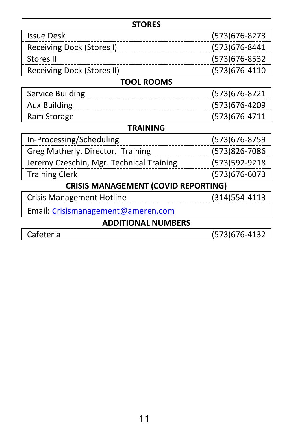| <b>STORES</b>                              |                |  |
|--------------------------------------------|----------------|--|
| <b>Issue Desk</b>                          | (573)676-8273  |  |
| Receiving Dock (Stores I)                  | (573)676-8441  |  |
| Stores II                                  | (573)676-8532  |  |
| Receiving Dock (Stores II)                 | (573)676-4110  |  |
| TOOL ROOMS                                 |                |  |
| Service Building                           | (573) 676-8221 |  |
| <b>Aux Building</b>                        | (573)676-4209  |  |
| Ram Storage                                | (573)676-4711  |  |
| TRAINING                                   |                |  |
| In-Processing/Scheduling                   | (573)676-8759  |  |
| Greg Matherly, Director. Training          | (573)826-7086  |  |
| Jeremy Czeschin, Mgr. Technical Training   | (573)592-9218  |  |
| <b>Training Clerk</b>                      | (573)676-6073  |  |
| <b>CRISIS MANAGEMENT (COVID REPORTING)</b> |                |  |
| Crisis Management Hotline                  | (314)554-4113  |  |
| Email: Crisismanagement@ameren.com         |                |  |
| <b>ADDITIONAL NUMBERS</b>                  |                |  |
| Cafeteria                                  | (573)676-4132  |  |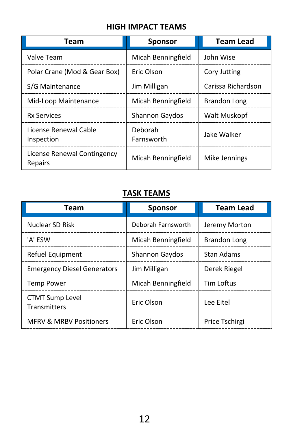#### **HIGH IMPACT TEAMS**

| Team                                   | <b>Sponsor</b>        | <b>Team Lead</b>    |
|----------------------------------------|-----------------------|---------------------|
| Valve Team                             | Micah Benningfield    | John Wise           |
| Polar Crane (Mod & Gear Box)           | Eric Olson            | Cory Jutting        |
| S/G Maintenance                        | Jim Milligan          | Carissa Richardson  |
| Mid-Loop Maintenance                   | Micah Benningfield    | <b>Brandon Long</b> |
| <b>Rx Services</b>                     | <b>Shannon Gaydos</b> | Walt Muskopf        |
| License Renewal Cable<br>Inspection    | Deborah<br>Farnsworth | Jake Walker         |
| License Renewal Contingency<br>Repairs | Micah Benningfield    | Mike Jennings       |

#### **TASK TEAMS**

| Team                                   | <b>Sponsor</b>        | <b>Team Lead</b> |
|----------------------------------------|-----------------------|------------------|
| Nuclear SD Risk                        | Deborah Farnsworth    | Jeremy Morton    |
| 'A' ESW                                | Micah Benningfield    | Brandon Long     |
| Refuel Equipment                       | <b>Shannon Gaydos</b> | Stan Adams       |
| <b>Emergency Diesel Generators</b>     | Jim Milligan          | Derek Riegel     |
| <b>Temp Power</b>                      | Micah Benningfield    | Tim Loftus       |
| <b>CTMT Sump Level</b><br>Transmitters | Eric Olson            | Lee Eitel        |
| <b>MFRV &amp; MRBV Positioners</b>     | Eric Olson            | Price Tschirgi   |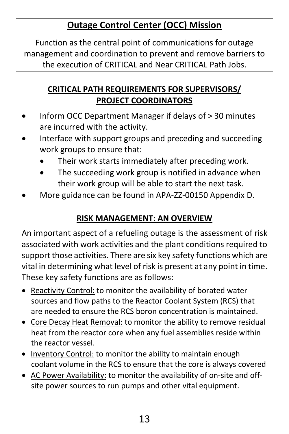# **Outage Control Center (OCC) Mission**

Function as the central point of communications for outage management and coordination to prevent and remove barriers to the execution of CRITICAL and Near CRITICAL Path Jobs.

#### **CRITICAL PATH REQUIREMENTS FOR SUPERVISORS/ PROJECT COORDINATORS**

- Inform OCC Department Manager if delays of > 30 minutes are incurred with the activity.
- Interface with support groups and preceding and succeeding work groups to ensure that:
	- Their work starts immediately after preceding work.
	- The succeeding work group is notified in advance when their work group will be able to start the next task.
- More guidance can be found in APA-ZZ-00150 Appendix D.

#### **RISK MANAGEMENT: AN OVERVIEW**

An important aspect of a refueling outage is the assessment of risk associated with work activities and the plant conditions required to support those activities. There are six key safety functions which are vital in determining what level of risk is present at any point in time. These key safety functions are as follows:

- Reactivity Control: to monitor the availability of borated water sources and flow paths to the Reactor Coolant System (RCS) that are needed to ensure the RCS boron concentration is maintained.
- Core Decay Heat Removal: to monitor the ability to remove residual heat from the reactor core when any fuel assemblies reside within the reactor vessel.
- Inventory Control: to monitor the ability to maintain enough coolant volume in the RCS to ensure that the core is always covered
- AC Power Availability: to monitor the availability of on-site and offsite power sources to run pumps and other vital equipment.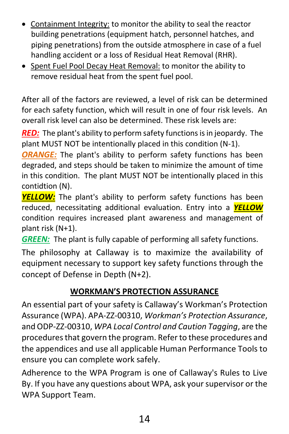- Containment Integrity: to monitor the ability to seal the reactor building penetrations (equipment hatch, personnel hatches, and piping penetrations) from the outside atmosphere in case of a fuel handling accident or a loss of Residual Heat Removal (RHR).
- Spent Fuel Pool Decay Heat Removal: to monitor the ability to remove residual heat from the spent fuel pool.

After all of the factors are reviewed, a level of risk can be determined for each safety function, which will result in one of four risk levels. An overall risk level can also be determined. These risk levels are:

*RED:* The plant's ability to perform safety functions is in jeopardy. The plant MUST NOT be intentionally placed in this condition (N-1).

*ORANGE:* The plant's ability to perform safety functions has been degraded, and steps should be taken to minimize the amount of time in this condition. The plant MUST NOT be intentionally placed in this contidtion (N).

*YELLOW:* The plant's ability to perform safety functions has been reduced, necessitating additional evaluation. Entry into a *YELLOW* condition requires increased plant awareness and management of plant risk (N+1).

*GREEN:* The plant is fully capable of performing all safety functions.

The philosophy at Callaway is to maximize the availability of equipment necessary to support key safety functions through the concept of Defense in Depth (N+2).

#### **WORKMAN'S PROTECTION ASSURANCE**

An essential part of your safety is Callaway's Workman's Protection Assurance (WPA). APA-ZZ-00310, *Workman's Protection Assurance*, and ODP-ZZ-00310, *WPA Local Control and Caution Tagging*, are the procedures that govern the program. Refer to these procedures and the appendices and use all applicable Human Performance Tools to ensure you can complete work safely.

Adherence to the WPA Program is one of Callaway's Rules to Live By. If you have any questions about WPA, ask your supervisor or the WPA Support Team.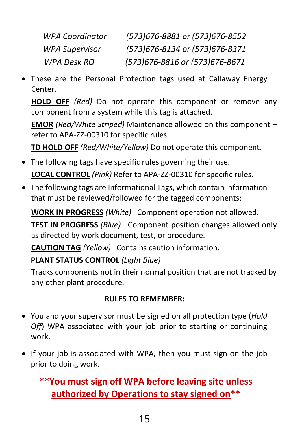| WPA Coordinator       | (573)676-8881 or (573)676-8552   |
|-----------------------|----------------------------------|
| <b>WPA Supervisor</b> | (573)676-8134 or (573)676-8371   |
| WPA Desk RO           | (573) 676-8816 or (573) 676-8671 |

• These are the Personal Protection tags used at Callaway Energy Center.

**HOLD OFF** *(Red)* Do not operate this component or remove any component from a system while this tag is attached.

**EMOR** *(Red/White Striped)* Maintenance allowed on this component – refer to APA-ZZ-00310 for specific rules.

**TD HOLD OFF** *(Red/White/Yellow)* Do not operate this component.

- The following tags have specific rules governing their use. **LOCAL CONTROL** *(Pink)* Refer to APA-ZZ-00310 for specific rules.
- The following tags are Informational Tags, which contain information that must be reviewed/followed for the tagged components:

**WORK IN PROGRESS** *(White)* Component operation not allowed.

**TEST IN PROGRESS** *(Blue)* Component position changes allowed only as directed by work document, test, or procedure.

**CAUTION TAG** *(Yellow)* Contains caution information.

**PLANT STATUS CONTROL** *(Light Blue)*

Tracks components not in their normal position that are not tracked by any other plant procedure.

#### **RULES TO REMEMBER:**

- You and your supervisor must be signed on all protection type (*Hold Off*) WPA associated with your job prior to starting or continuing work.
- If your job is associated with WPA, then you must sign on the job prior to doing work.

**\*\*You must sign off WPA before leaving site unless authorized by Operations to stay signed on\*\***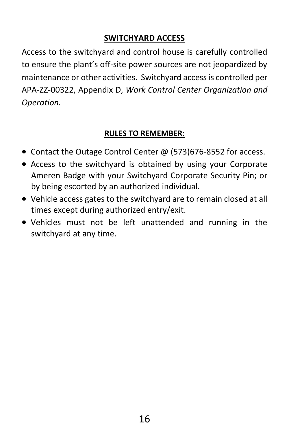#### **SWITCHYARD ACCESS**

Access to the switchyard and control house is carefully controlled to ensure the plant's off-site power sources are not jeopardized by maintenance or other activities. Switchyard access is controlled per APA-ZZ-00322, Appendix D, *Work Control Center Organization and Operation.*

#### **RULES TO REMEMBER:**

- Contact the Outage Control Center @ (573)676-8552 for access.
- Access to the switchyard is obtained by using your Corporate Ameren Badge with your Switchyard Corporate Security Pin; or by being escorted by an authorized individual.
- Vehicle access gates to the switchyard are to remain closed at all times except during authorized entry/exit.
- Vehicles must not be left unattended and running in the switchyard at any time.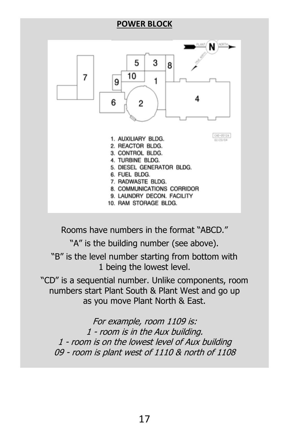#### **POWER BLOCK**



Rooms have numbers in the format "ABCD."

"A" is the building number (see above).

"B" is the level number starting from bottom with 1 being the lowest level.

"CD" is a sequential number. Unlike components, room numbers start Plant South & Plant West and go up as you move Plant North & East.

For example, room 1109 is: 1 - room is in the Aux building. 1 - room is on the lowest level of Aux building 09 - room is plant west of 1110 & north of 1108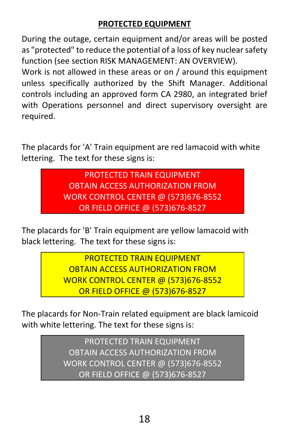#### **PROTECTED EQUIPMENT**

During the outage, certain equipment and/or areas will be posted as "protected" to reduce the potential of a loss of key nuclear safety function (see section RISK MANAGEMENT: AN OVERVIEW).

Work is not allowed in these areas or on / around this equipment unless specifically authorized by the Shift Manager. Additional controls including an approved form CA 2980, an integrated brief with Operations personnel and direct supervisory oversight are required.

The placards for 'A' Train equipment are red lamacoid with white lettering. The text for these signs is:

> PROTECTED TRAIN EQUIPMENT OBTAIN ACCESS AUTHORIZATION FROM WORK CONTROL CENTER @ (573)676-8552 OR FIELD OFFICE @ (573)676-8527

The placards for 'B' Train equipment are yellow lamacoid with black lettering. The text for these signs is:

> PROTECTED TRAIN EQUIPMENT OBTAIN ACCESS AUTHORIZATION FROM WORK CONTROL CENTER @ (573)676-8552 OR FIELD OFFICE @ (573)676-8527

The placards for Non-Train related equipment are black lamicoid with white lettering. The text for these signs is:

> PROTECTED TRAIN EQUIPMENT OBTAIN ACCESS AUTHORIZATION FROM WORK CONTROL CENTER @ (573)676-8552 OR FIELD OFFICE @ (573)676-8527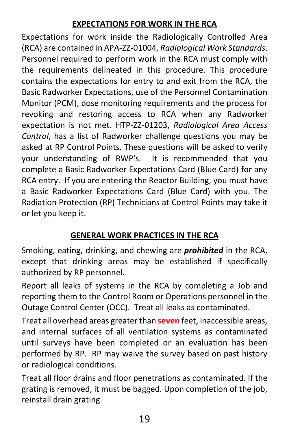#### **EXPECTATIONS FOR WORK IN THE RCA**

Expectations for work inside the Radiologically Controlled Area (RCA) are contained in APA-ZZ-01004, *Radiological Work Standards*. Personnel required to perform work in the RCA must comply with the requirements delineated in this procedure. This procedure contains the expectations for entry to and exit from the RCA, the Basic Radworker Expectations, use of the Personnel Contamination Monitor (PCM), dose monitoring requirements and the process for revoking and restoring access to RCA when any Radworker expectation is not met. HTP-ZZ-01203, *Radiological Area Access Control*, has a list of Radworker challenge questions you may be asked at RP Control Points. These questions will be asked to verify your understanding of RWP's. It is recommended that you complete a Basic Radworker Expectations Card (Blue Card) for any RCA entry. If you are entering the Reactor Building, you must have a Basic Radworker Expectations Card (Blue Card) with you. The Radiation Protection (RP) Technicians at Control Points may take it or let you keep it.

#### **GENERAL WORK PRACTICES IN THE RCA**

Smoking, eating, drinking, and chewing are *prohibited* in the RCA, except that drinking areas may be established if specifically authorized by RP personnel.

Report all leaks of systems in the RCA by completing a Job and reporting them to the Control Room or Operations personnel in the Outage Control Center (OCC). Treat all leaks as contaminated.

Treat all overhead areas greater than **seven** feet, inaccessible areas, and internal surfaces of all ventilation systems as contaminated until surveys have been completed or an evaluation has been performed by RP. RP may waive the survey based on past history or radiological conditions.

Treat all floor drains and floor penetrations as contaminated. If the grating is removed, it must be bagged. Upon completion of the job, reinstall drain grating.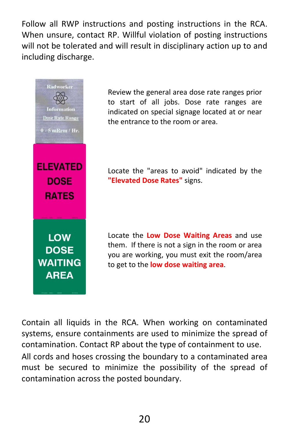Follow all RWP instructions and posting instructions in the RCA. When unsure, contact RP. Willful violation of posting instructions will not be tolerated and will result in disciplinary action up to and including discharge.



Review the general area dose rate ranges prior to start of all jobs. Dose rate ranges are indicated on special signage located at or near the entrance to the room or area.

Locate the "areas to avoid" indicated by the **"Elevated Dose Rates"** signs.

Locate the **Low Dose Waiting Areas** and use them. If there is not a sign in the room or area you are working, you must exit the room/area to get to the **low dose waiting area**.

Contain all liquids in the RCA. When working on contaminated systems, ensure containments are used to minimize the spread of contamination. Contact RP about the type of containment to use. All cords and hoses crossing the boundary to a contaminated area must be secured to minimize the possibility of the spread of contamination across the posted boundary.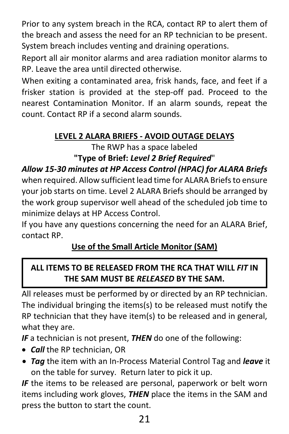Prior to any system breach in the RCA, contact RP to alert them of the breach and assess the need for an RP technician to be present. System breach includes venting and draining operations.

Report all air monitor alarms and area radiation monitor alarms to RP. Leave the area until directed otherwise.

When exiting a contaminated area, frisk hands, face, and feet if a frisker station is provided at the step-off pad. Proceed to the nearest Contamination Monitor. If an alarm sounds, repeat the count. Contact RP if a second alarm sounds.

#### **LEVEL 2 ALARA BRIEFS - AVOID OUTAGE DELAYS**

The RWP has a space labeled

### **"Type of Brief:** *Level 2 Brief Required*"

#### *Allow 15-30 minutes at HP Access Control (HPAC) for ALARA Briefs*

when required. Allow sufficient lead time for ALARA Briefs to ensure your job starts on time. Level 2 ALARA Briefs should be arranged by the work group supervisor well ahead of the scheduled job time to minimize delays at HP Access Control.

If you have any questions concerning the need for an ALARA Brief, contact RP.

#### **Use of the Small Article Monitor (SAM)**

#### **ALL ITEMS TO BE RELEASED FROM THE RCA THAT WILL** *FIT* **IN THE SAM MUST BE** *RELEASED* **BY THE SAM.**

All releases must be performed by or directed by an RP technician. The individual bringing the items(s) to be released must notify the RP technician that they have item(s) to be released and in general, what they are.

*IF* a technician is not present, *THEN* do one of the following:

- *Call* the RP technician, OR
- *Tag* the item with an In-Process Material Control Tag and *leave* it on the table for survey. Return later to pick it up.

**IF** the items to be released are personal, paperwork or belt worn items including work gloves, *THEN* place the items in the SAM and press the button to start the count.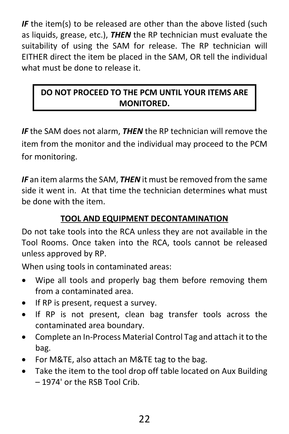*IF* the item(s) to be released are other than the above listed (such as liquids, grease, etc.), *THEN* the RP technician must evaluate the suitability of using the SAM for release. The RP technician will EITHER direct the item be placed in the SAM, OR tell the individual what must be done to release it.

#### **DO NOT PROCEED TO THE PCM UNTIL YOUR ITEMS ARE MONITORED.**

*IF* the SAM does not alarm, *THEN* the RP technician will remove the item from the monitor and the individual may proceed to the PCM for monitoring.

*IF* an item alarms the SAM, *THEN* it must be removed from the same side it went in. At that time the technician determines what must be done with the item.

#### **TOOL AND EQUIPMENT DECONTAMINATION**

Do not take tools into the RCA unless they are not available in the Tool Rooms. Once taken into the RCA, tools cannot be released unless approved by RP.

When using tools in contaminated areas:

- Wipe all tools and properly bag them before removing them from a contaminated area.
- If RP is present, request a survey.
- If RP is not present, clean bag transfer tools across the contaminated area boundary.
- Complete an In-Process Material Control Tag and attach it to the bag.
- For M&TE, also attach an M&TE tag to the bag.
- Take the item to the tool drop off table located on Aux Building – 1974' or the RSB Tool Crib.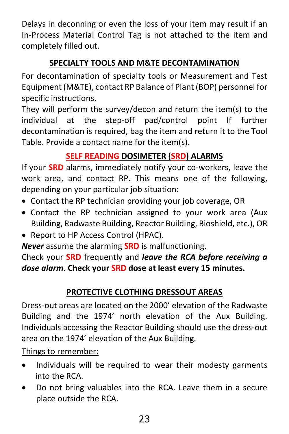Delays in deconning or even the loss of your item may result if an In-Process Material Control Tag is not attached to the item and completely filled out.

#### **SPECIALTY TOOLS AND M&TE DECONTAMINATION**

For decontamination of specialty tools or Measurement and Test Equipment (M&TE), contact RP Balance of Plant (BOP) personnel for specific instructions.

They will perform the survey/decon and return the item(s) to the individual at the step-off pad/control point If further decontamination is required, bag the item and return it to the Tool Table. Provide a contact name for the item(s).

#### **SELF READING DOSIMETER (SRD) ALARMS**

If your **SRD** alarms, immediately notify your co-workers, leave the work area, and contact RP. This means one of the following, depending on your particular job situation:

- Contact the RP technician providing your job coverage, OR
- Contact the RP technician assigned to your work area (Aux Building, Radwaste Building, Reactor Building, Bioshield, etc.), OR
- Report to HP Access Control (HPAC).

*Never* assume the alarming **SRD** is malfunctioning.

Check your **SRD** frequently and *leave the RCA before receiving a dose alarm*. **Check your SRD dose at least every 15 minutes.**

#### **PROTECTIVE CLOTHING DRESSOUT AREAS**

Dress-out areas are located on the 2000' elevation of the Radwaste Building and the 1974' north elevation of the Aux Building. Individuals accessing the Reactor Building should use the dress-out area on the 1974' elevation of the Aux Building.

Things to remember:

- Individuals will be required to wear their modesty garments into the RCA.
- Do not bring valuables into the RCA. Leave them in a secure place outside the RCA.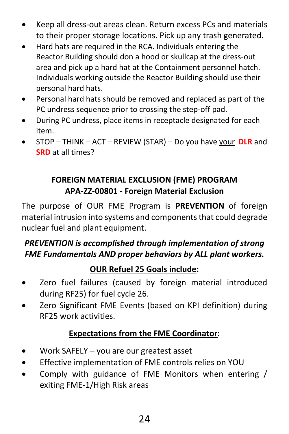- Keep all dress-out areas clean. Return excess PCs and materials to their proper storage locations. Pick up any trash generated.
- Hard hats are required in the RCA. Individuals entering the Reactor Building should don a hood or skullcap at the dress-out area and pick up a hard hat at the Containment personnel hatch. Individuals working outside the Reactor Building should use their personal hard hats.
- Personal hard hats should be removed and replaced as part of the PC undress sequence prior to crossing the step-off pad.
- During PC undress, place items in receptacle designated for each item.
- STOP THINK ACT REVIEW (STAR) Do you have your **DLR** and **SRD** at all times?

#### **FOREIGN MATERIAL EXCLUSION (FME) PROGRAM APA-ZZ-00801 - Foreign Material Exclusion**

The purpose of OUR FME Program is **PREVENTION** of foreign material intrusion into systems and components that could degrade nuclear fuel and plant equipment.

#### *PREVENTION is accomplished through implementation of strong FME Fundamentals AND proper behaviors by ALL plant workers.*

#### **OUR Refuel 25 Goals include:**

- Zero fuel failures (caused by foreign material introduced during RF25) for fuel cycle 26.
- Zero Significant FME Events (based on KPI definition) during RF25 work activities.

#### **Expectations from the FME Coordinator:**

- Work SAFELY you are our greatest asset
- Effective implementation of FME controls relies on YOU
- Comply with guidance of FME Monitors when entering / exiting FME-1/High Risk areas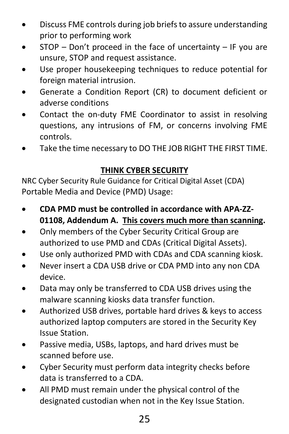- Discuss FME controls during job briefs to assure understanding prior to performing work
- STOP Don't proceed in the face of uncertainty IF you are unsure, STOP and request assistance.
- Use proper housekeeping techniques to reduce potential for foreign material intrusion.
- Generate a Condition Report (CR) to document deficient or adverse conditions
- Contact the on-duty FME Coordinator to assist in resolving questions, any intrusions of FM, or concerns involving FME controls.
- Take the time necessary to DO THE JOB RIGHT THE FIRST TIME.

#### **THINK CYBER SECURITY**

NRC Cyber Security Rule Guidance for Critical Digital Asset (CDA) Portable Media and Device (PMD) Usage:

- **CDA PMD must be controlled in accordance with APA-ZZ-01108, Addendum A. This covers much more than scanning.**
- Only members of the Cyber Security Critical Group are authorized to use PMD and CDAs (Critical Digital Assets).
- Use only authorized PMD with CDAs and CDA scanning kiosk.
- Never insert a CDA USB drive or CDA PMD into any non CDA device.
- Data may only be transferred to CDA USB drives using the malware scanning kiosks data transfer function.
- Authorized USB drives, portable hard drives & keys to access authorized laptop computers are stored in the Security Key Issue Station.
- Passive media, USBs, laptops, and hard drives must be scanned before use.
- Cyber Security must perform data integrity checks before data is transferred to a CDA.
- All PMD must remain under the physical control of the designated custodian when not in the Key Issue Station.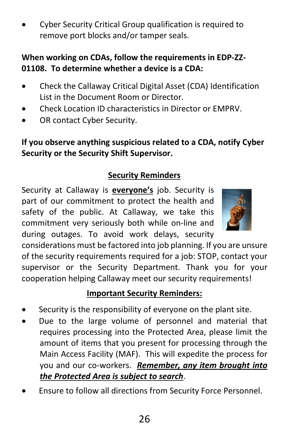• Cyber Security Critical Group qualification is required to remove port blocks and/or tamper seals.

#### **When working on CDAs, follow the requirements in EDP-ZZ-01108. To determine whether a device is a CDA:**

- Check the Callaway Critical Digital Asset (CDA) Identification List in the Document Room or Director.
- Check Location ID characteristics in Director or EMPRV.
- OR contact Cyber Security.

#### **If you observe anything suspicious related to a CDA, notify Cyber Security or the Security Shift Supervisor.**

#### **Security Reminders**

Security at Callaway is **everyone's** job. Security is part of our commitment to protect the health and safety of the public. At Callaway, we take this commitment very seriously both while on-line and during outages. To avoid work delays, security



considerations must be factored into job planning. If you are unsure of the security requirements required for a job: STOP, contact your supervisor or the Security Department. Thank you for your cooperation helping Callaway meet our security requirements!

#### **Important Security Reminders:**

- Security is the responsibility of everyone on the plant site.
- Due to the large volume of personnel and material that requires processing into the Protected Area, please limit the amount of items that you present for processing through the Main Access Facility (MAF). This will expedite the process for you and our co-workers. *Remember, any item brought into the Protected Area is subject to search*.
- Ensure to follow all directions from Security Force Personnel.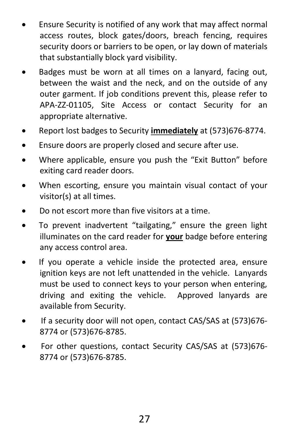- Ensure Security is notified of any work that may affect normal access routes, block gates/doors, breach fencing, requires security doors or barriers to be open, or lay down of materials that substantially block yard visibility.
- Badges must be worn at all times on a lanyard, facing out, between the waist and the neck, and on the outside of any outer garment. If job conditions prevent this, please refer to APA-ZZ-01105, Site Access or contact Security for an appropriate alternative.
- Report lost badges to Security **immediately** at (573)676-8774.
- Ensure doors are properly closed and secure after use.
- Where applicable, ensure you push the "Exit Button" before exiting card reader doors.
- When escorting, ensure you maintain visual contact of your visitor(s) at all times.
- Do not escort more than five visitors at a time.
- To prevent inadvertent "tailgating," ensure the green light illuminates on the card reader for **your** badge before entering any access control area.
- If you operate a vehicle inside the protected area, ensure ignition keys are not left unattended in the vehicle. Lanyards must be used to connect keys to your person when entering, driving and exiting the vehicle. Approved lanyards are available from Security.
- If a security door will not open, contact CAS/SAS at (573)676- 8774 or (573)676-8785.
- For other questions, contact Security CAS/SAS at (573)676- 8774 or (573)676-8785.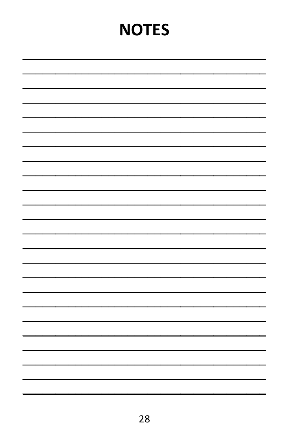# **NOTES**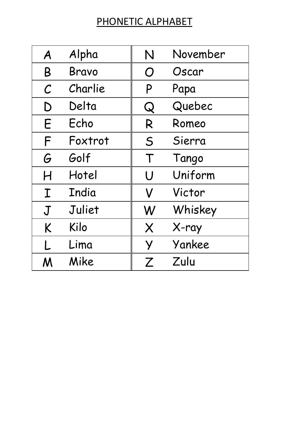# PHONETIC ALPHABET

| A                 | Alpha   | N | November |
|-------------------|---------|---|----------|
| B                 | Bravo   | O | Oscar    |
| $\mathcal{C}_{0}$ | Charlie | P | Papa     |
| D                 | Delta   | Q | Quebec   |
| E                 | Echo    | R | Romeo    |
| F                 | Foxtrot | S | Sierra   |
| G                 | Golf    | Τ | Tango    |
| H                 | Hotel   | U | Uniform  |
| I                 | India   | V | Victor   |
| J                 | Juliet  | W | Whiskey  |
| K                 | Kilo    | X | X-ray    |
| L.                | Lima    | У | Yankee   |
| Μ                 | Mike    | Ζ | Zulu     |